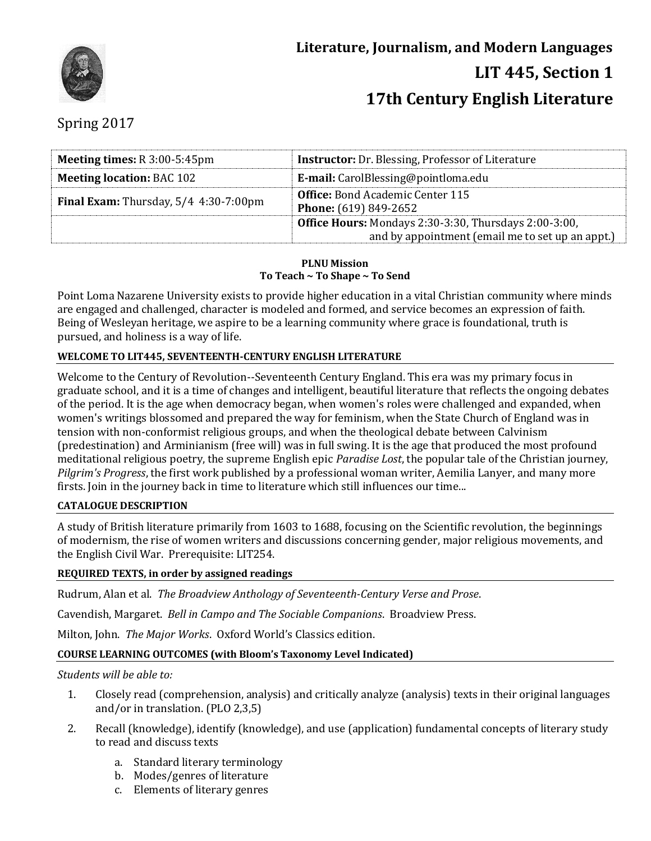

# Spring 2017

| <b>Meeting times:</b> R 3:00-5:45pm     | <b>Instructor:</b> Dr. Blessing, Professor of Literature                                                         |  |
|-----------------------------------------|------------------------------------------------------------------------------------------------------------------|--|
| <b>Meeting location: BAC 102</b>        | <b>E-mail:</b> CarolBlessing@pointloma.edu                                                                       |  |
| Final Exam: Thursday, $5/4$ 4:30-7:00pm | <b>Office:</b> Bond Academic Center 115<br><b>Phone:</b> (619) 849-2652                                          |  |
|                                         | <b>Office Hours:</b> Mondays 2:30-3:30, Thursdays 2:00-3:00,<br>and by appointment (email me to set up an appt.) |  |

#### **PLNU Mission To Teach ~ To Shape ~ To Send**

Point Loma Nazarene University exists to provide higher education in a vital Christian community where minds are engaged and challenged, character is modeled and formed, and service becomes an expression of faith. Being of Wesleyan heritage, we aspire to be a learning community where grace is foundational, truth is pursued, and holiness is a way of life.

# **WELCOME TO LIT445, SEVENTEENTH-CENTURY ENGLISH LITERATURE**

Welcome to the Century of Revolution--Seventeenth Century England. This era was my primary focus in graduate school, and it is a time of changes and intelligent, beautiful literature that reflects the ongoing debates of the period. It is the age when democracy began, when women's roles were challenged and expanded, when women's writings blossomed and prepared the way for feminism, when the State Church of England was in tension with non-conformist religious groups, and when the theological debate between Calvinism (predestination) and Arminianism (free will) was in full swing. It is the age that produced the most profound meditational religious poetry, the supreme English epic *Paradise Lost*, the popular tale of the Christian journey, *Pilgrim's Progress*, the first work published by a professional woman writer, Aemilia Lanyer, and many more firsts. Join in the journey back in time to literature which still influences our time...

## **CATALOGUE DESCRIPTION**

A study of British literature primarily from 1603 to 1688, focusing on the Scientific revolution, the beginnings of modernism, the rise of women writers and discussions concerning gender, major religious movements, and the English Civil War. Prerequisite: LIT254.

## **REQUIRED TEXTS, in order by assigned readings**

Rudrum, Alan et al. *The Broadview Anthology of Seventeenth-Century Verse and Prose*.

Cavendish, Margaret. *Bell in Campo and The Sociable Companions*. Broadview Press.

Milton, John. *The Major Works*. Oxford World's Classics edition.

## **COURSE LEARNING OUTCOMES (with Bloom's Taxonomy Level Indicated)**

## *Students will be able to:*

- 1. Closely read (comprehension, analysis) and critically analyze (analysis) texts in their original languages and/or in translation. (PLO 2,3,5)
- 2. Recall (knowledge), identify (knowledge), and use (application) fundamental concepts of literary study to read and discuss texts
	- a. Standard literary terminology
	- b. Modes/genres of literature
	- c. Elements of literary genres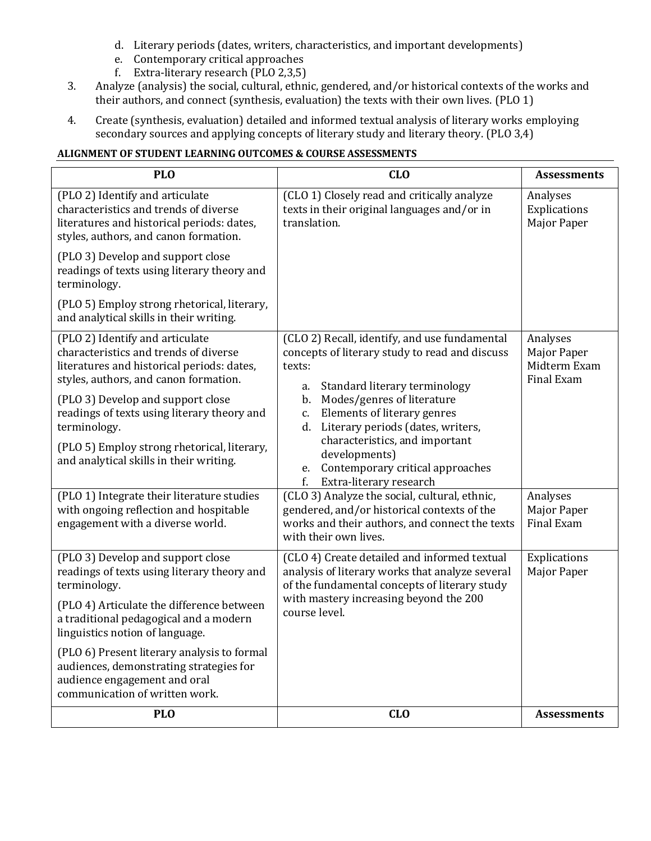- d. Literary periods (dates, writers, characteristics, and important developments)
- e. Contemporary critical approaches
- f. Extra-literary research (PLO 2,3,5)
- 3. Analyze (analysis) the social, cultural, ethnic, gendered, and/or historical contexts of the works and their authors, and connect (synthesis, evaluation) the texts with their own lives. (PLO 1)
- 4. Create (synthesis, evaluation) detailed and informed textual analysis of literary works employing secondary sources and applying concepts of literary study and literary theory. (PLO 3,4)

# **ALIGNMENT OF STUDENT LEARNING OUTCOMES & COURSE ASSESSMENTS**

| <b>PLO</b>                                                                                                                                                                                                                                          | CL <sub>0</sub>                                                                                                                                                                                                           | <b>Assessments</b>                                           |
|-----------------------------------------------------------------------------------------------------------------------------------------------------------------------------------------------------------------------------------------------------|---------------------------------------------------------------------------------------------------------------------------------------------------------------------------------------------------------------------------|--------------------------------------------------------------|
| (PLO 2) Identify and articulate<br>characteristics and trends of diverse<br>literatures and historical periods: dates,<br>styles, authors, and canon formation.                                                                                     | (CLO 1) Closely read and critically analyze<br>texts in their original languages and/or in<br>translation.                                                                                                                | Analyses<br>Explications<br>Major Paper                      |
| (PLO 3) Develop and support close<br>readings of texts using literary theory and<br>terminology.<br>(PLO 5) Employ strong rhetorical, literary,                                                                                                     |                                                                                                                                                                                                                           |                                                              |
| and analytical skills in their writing.                                                                                                                                                                                                             |                                                                                                                                                                                                                           |                                                              |
| (PLO 2) Identify and articulate<br>characteristics and trends of diverse<br>literatures and historical periods: dates,<br>styles, authors, and canon formation.<br>(PLO 3) Develop and support close<br>readings of texts using literary theory and | (CLO 2) Recall, identify, and use fundamental<br>concepts of literary study to read and discuss<br>texts:<br>Standard literary terminology<br>a.<br>Modes/genres of literature<br>b.<br>Elements of literary genres<br>c. | Analyses<br><b>Major Paper</b><br>Midterm Exam<br>Final Exam |
| terminology.<br>(PLO 5) Employ strong rhetorical, literary,<br>and analytical skills in their writing.                                                                                                                                              | Literary periods (dates, writers,<br>d.<br>characteristics, and important<br>developments)<br>Contemporary critical approaches<br>e.                                                                                      |                                                              |
|                                                                                                                                                                                                                                                     | f.<br>Extra-literary research                                                                                                                                                                                             |                                                              |
| (PLO 1) Integrate their literature studies<br>with ongoing reflection and hospitable<br>engagement with a diverse world.                                                                                                                            | (CLO 3) Analyze the social, cultural, ethnic,<br>gendered, and/or historical contexts of the<br>works and their authors, and connect the texts<br>with their own lives.                                                   | Analyses<br>Major Paper<br>Final Exam                        |
| (PLO 3) Develop and support close<br>readings of texts using literary theory and<br>terminology.<br>(PLO 4) Articulate the difference between<br>a traditional pedagogical and a modern                                                             | (CLO 4) Create detailed and informed textual<br>analysis of literary works that analyze several<br>of the fundamental concepts of literary study<br>with mastery increasing beyond the 200<br>course level.               | Explications<br>Major Paper                                  |
| linguistics notion of language.                                                                                                                                                                                                                     |                                                                                                                                                                                                                           |                                                              |
| (PLO 6) Present literary analysis to formal<br>audiences, demonstrating strategies for<br>audience engagement and oral<br>communication of written work.                                                                                            |                                                                                                                                                                                                                           |                                                              |
| <b>PLO</b>                                                                                                                                                                                                                                          | CL <sub>0</sub>                                                                                                                                                                                                           | <b>Assessments</b>                                           |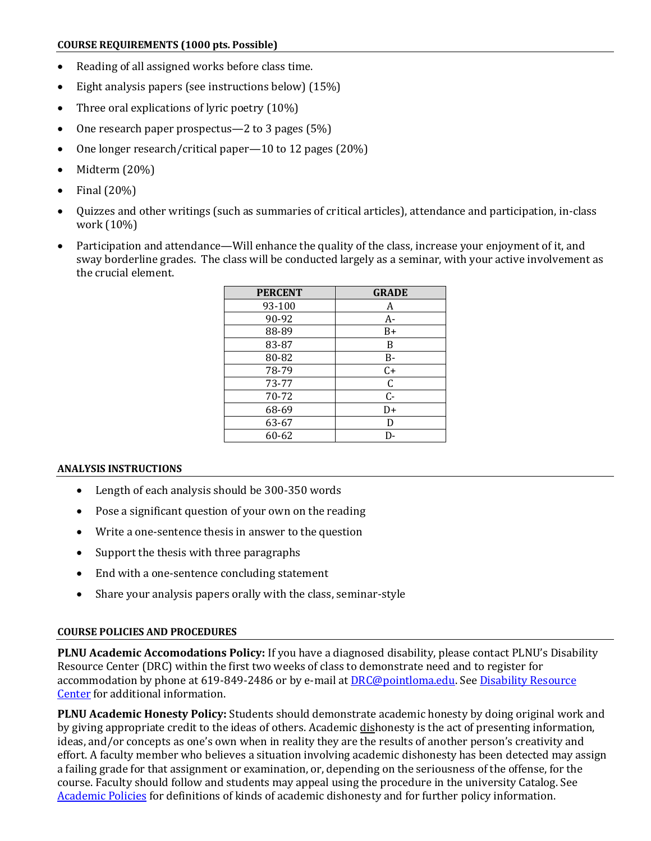#### **COURSE REQUIREMENTS (1000 pts. Possible)**

- Reading of all assigned works before class time.
- Eight analysis papers (see instructions below) (15%)
- Three oral explications of lyric poetry (10%)
- One research paper prospectus—2 to 3 pages (5%)
- One longer research/critical paper—10 to 12 pages (20%)
- Midterm (20%)
- Final (20%)
- Quizzes and other writings (such as summaries of critical articles), attendance and participation, in-class work (10%)
- Participation and attendance—Will enhance the quality of the class, increase your enjoyment of it, and sway borderline grades. The class will be conducted largely as a seminar, with your active involvement as the crucial element.

| <b>PERCENT</b> | <b>GRADE</b> |
|----------------|--------------|
| 93-100         | A            |
| 90-92          | $A-$         |
| 88-89          | B+           |
| 83-87          | B            |
| 80-82          | B-           |
| 78-79          | $C+$         |
| 73-77          | C            |
| 70-72          | $C -$        |
| 68-69          | D+           |
| 63-67          | D            |
| 60-62          | D-           |

#### **ANALYSIS INSTRUCTIONS**

- Length of each analysis should be 300-350 words
- Pose a significant question of your own on the reading
- Write a one-sentence thesis in answer to the question
- Support the thesis with three paragraphs
- End with a one-sentence concluding statement
- Share your analysis papers orally with the class, seminar-style

#### **COURSE POLICIES AND PROCEDURES**

**PLNU Academic Accomodations Policy:** If you have a diagnosed disability, please contact PLNU's Disability Resource Center (DRC) within the first two weeks of class to demonstrate need and to register for accommodation by phone at 619-849-2486 or by e-mail at [DRC@pointloma.edu.](mailto:DRC@pointloma.edu) Se[e Disability Resource](http://www.pointloma.edu/experience/offices/administrative-offices/academic-advising-office/disability-resource-center)  [Center](http://www.pointloma.edu/experience/offices/administrative-offices/academic-advising-office/disability-resource-center) for additional information.

**PLNU Academic Honesty Policy:** Students should demonstrate academic honesty by doing original work and by giving appropriate credit to the ideas of others. Academic dishonesty is the act of presenting information, ideas, and/or concepts as one's own when in reality they are the results of another person's creativity and effort. A faculty member who believes a situation involving academic dishonesty has been detected may assign a failing grade for that assignment or examination, or, depending on the seriousness of the offense, for the course. Faculty should follow and students may appeal using the procedure in the university Catalog. See [Academic Policies](http://catalog.pointloma.edu/content.php?catoid=18&navoid=1278) for definitions of kinds of academic dishonesty and for further policy information.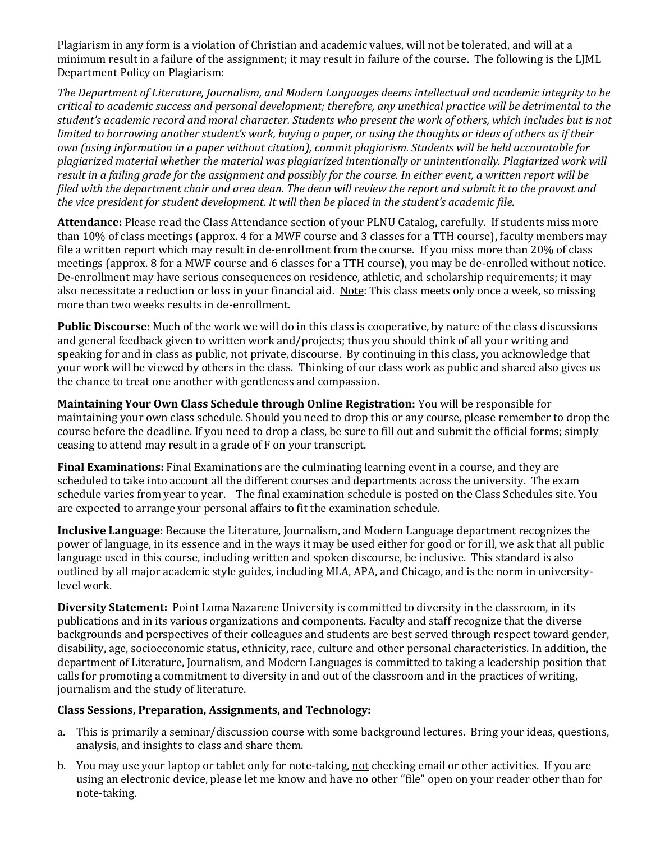Plagiarism in any form is a violation of Christian and academic values, will not be tolerated, and will at a minimum result in a failure of the assignment; it may result in failure of the course. The following is the LJML Department Policy on Plagiarism:

*The Department of Literature, Journalism, and Modern Languages deems intellectual and academic integrity to be critical to academic success and personal development; therefore, any unethical practice will be detrimental to the student's academic record and moral character. Students who present the work of others, which includes but is not limited to borrowing another student's work, buying a paper, or using the thoughts or ideas of others as if their own (using information in a paper without citation), commit plagiarism. Students will be held accountable for plagiarized material whether the material was plagiarized intentionally or unintentionally. Plagiarized work will result in a failing grade for the assignment and possibly for the course. In either event, a written report will be filed with the department chair and area dean. The dean will review the report and submit it to the provost and the vice president for student development. It will then be placed in the student's academic file.*

**Attendance:** Please read the Class Attendance section of your PLNU Catalog, carefully. If students miss more than 10% of class meetings (approx. 4 for a MWF course and 3 classes for a TTH course), faculty members may file a written report which may result in de-enrollment from the course. If you miss more than 20% of class meetings (approx. 8 for a MWF course and 6 classes for a TTH course), you may be de-enrolled without notice. De-enrollment may have serious consequences on residence, athletic, and scholarship requirements; it may also necessitate a reduction or loss in your financial aid. Note: This class meets only once a week, so missing more than two weeks results in de-enrollment.

**Public Discourse:** Much of the work we will do in this class is cooperative, by nature of the class discussions and general feedback given to written work and/projects; thus you should think of all your writing and speaking for and in class as public, not private, discourse. By continuing in this class, you acknowledge that your work will be viewed by others in the class. Thinking of our class work as public and shared also gives us the chance to treat one another with gentleness and compassion.

**Maintaining Your Own Class Schedule through Online Registration:** You will be responsible for maintaining your own class schedule. Should you need to drop this or any course, please remember to drop the course before the deadline. If you need to drop a class, be sure to fill out and submit the official forms; simply ceasing to attend may result in a grade of F on your transcript.

**Final Examinations:** Final Examinations are the culminating learning event in a course, and they are scheduled to take into account all the different courses and departments across the university. The exam schedule varies from year to year. The final examination schedule is posted on the Class Schedules site. You are expected to arrange your personal affairs to fit the examination schedule.

**Inclusive Language:** Because the Literature, Journalism, and Modern Language department recognizes the power of language, in its essence and in the ways it may be used either for good or for ill, we ask that all public language used in this course, including written and spoken discourse, be inclusive. This standard is also outlined by all major academic style guides, including MLA, APA, and Chicago, and is the norm in universitylevel work.

**Diversity Statement:** Point Loma Nazarene University is committed to diversity in the classroom, in its publications and in its various organizations and components. Faculty and staff recognize that the diverse backgrounds and perspectives of their colleagues and students are best served through respect toward gender, disability, age, socioeconomic status, ethnicity, race, culture and other personal characteristics. In addition, the department of Literature, Journalism, and Modern Languages is committed to taking a leadership position that calls for promoting a commitment to diversity in and out of the classroom and in the practices of writing, journalism and the study of literature.

# **Class Sessions, Preparation, Assignments, and Technology:**

- a. This is primarily a seminar/discussion course with some background lectures. Bring your ideas, questions, analysis, and insights to class and share them.
- b. You may use your laptop or tablet only for note-taking, not checking email or other activities. If you are using an electronic device, please let me know and have no other "file" open on your reader other than for note-taking.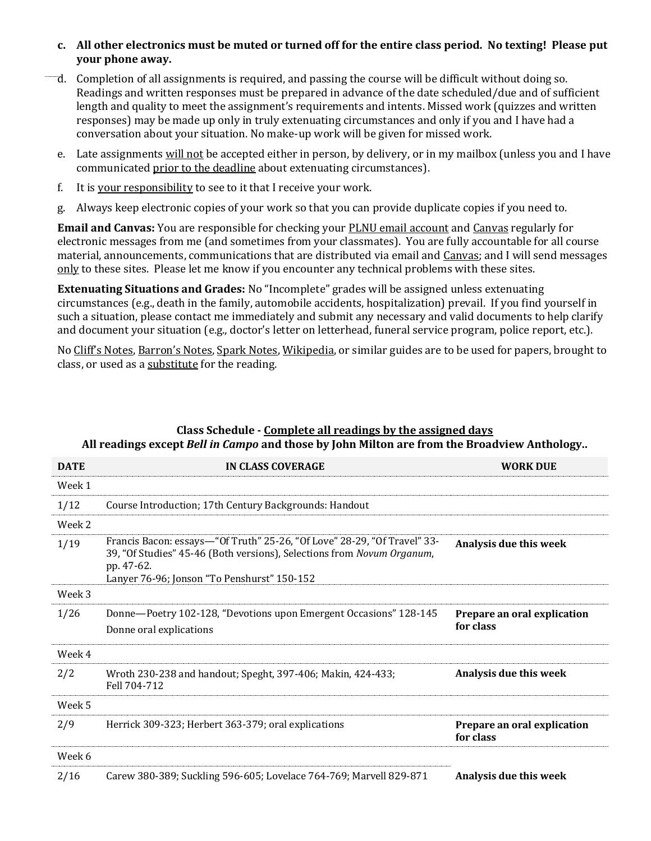### **c. All other electronics must be muted or turned off for the entire class period. No texting! Please put your phone away.**

- d. Completion of all assignments is required, and passing the course will be difficult without doing so. Readings and written responses must be prepared in advance of the date scheduled/due and of sufficient length and quality to meet the assignment's requirements and intents. Missed work (quizzes and written responses) may be made up only in truly extenuating circumstances and only if you and I have had a conversation about your situation. No make-up work will be given for missed work.
- e. Late assignments will not be accepted either in person, by delivery, or in my mailbox (unless you and I have communicated prior to the deadline about extenuating circumstances).
- f. It is your responsibility to see to it that I receive your work.
- g. Always keep electronic copies of your work so that you can provide duplicate copies if you need to.

**Email and Canvas:** You are responsible for checking your **PLNU** email account and Canvas regularly for electronic messages from me (and sometimes from your classmates). You are fully accountable for all course material, announcements, communications that are distributed via email and Canvas; and I will send messages only to these sites. Please let me know if you encounter any technical problems with these sites.

**Extenuating Situations and Grades:** No "Incomplete" grades will be assigned unless extenuating circumstances (e.g., death in the family, automobile accidents, hospitalization) prevail. If you find yourself in such a situation, please contact me immediately and submit any necessary and valid documents to help clarify and document your situation (e.g., doctor's letter on letterhead, funeral service program, police report, etc.).

No Cliff's Notes, Barron's Notes, Spark Notes, Wikipedia, or similar guides are to be used for papers, brought to class, or used as a substitute for the reading.

| <b>DATE</b> | IN CLASS COVERAGE                                                                                                                                                                                               | <b>WORK DUE</b>                          |
|-------------|-----------------------------------------------------------------------------------------------------------------------------------------------------------------------------------------------------------------|------------------------------------------|
| Week 1      |                                                                                                                                                                                                                 |                                          |
| 1/12        | Course Introduction; 17th Century Backgrounds: Handout                                                                                                                                                          |                                          |
| Week 2      |                                                                                                                                                                                                                 |                                          |
| 1/19        | Francis Bacon: essays-"Of Truth" 25-26, "Of Love" 28-29, "Of Travel" 33-<br>39, "Of Studies" 45-46 (Both versions), Selections from Novum Organum,<br>pp. 47-62.<br>Lanyer 76-96; Jonson "To Penshurst" 150-152 | Analysis due this week                   |
| Week 3      |                                                                                                                                                                                                                 |                                          |
| 1/26        | Donne-Poetry 102-128, "Devotions upon Emergent Occasions" 128-145<br>Donne oral explications                                                                                                                    | Prepare an oral explication<br>for class |
| Week 4      |                                                                                                                                                                                                                 |                                          |
| 2/2         | Wroth 230-238 and handout; Speght, 397-406; Makin, 424-433;<br>Fell 704-712                                                                                                                                     | Analysis due this week                   |
| Week 5      |                                                                                                                                                                                                                 |                                          |
| 2/9         | Herrick 309-323; Herbert 363-379; oral explications                                                                                                                                                             | Prepare an oral explication<br>for class |
| Week 6      |                                                                                                                                                                                                                 |                                          |
| 2/16        | Carew 380-389; Suckling 596-605; Lovelace 764-769; Marvell 829-871                                                                                                                                              | Analysis due this week                   |

# **Class Schedule - Complete all readings by the assigned days All readings except** *Bell in Campo* **and those by John Milton are from the Broadview Anthology..**